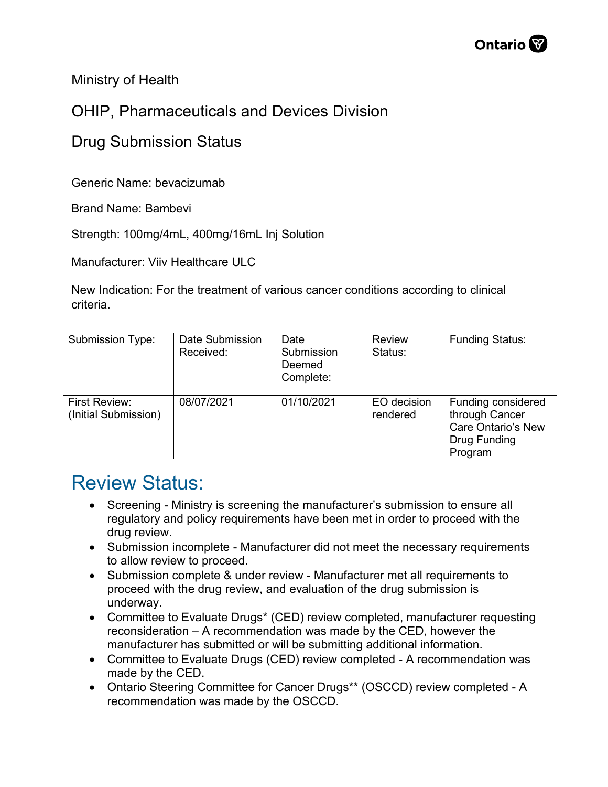Ministry of Health

## OHIP, Pharmaceuticals and Devices Division

## Drug Submission Status

Generic Name: bevacizumab

Brand Name: Bambevi

Strength: 100mg/4mL, 400mg/16mL Inj Solution

Manufacturer: Viiv Healthcare ULC

New Indication: For the treatment of various cancer conditions according to clinical criteria.

| <b>Submission Type:</b>               | Date Submission<br>Received: | Date<br>Submission<br>Deemed<br>Complete: | <b>Review</b><br>Status: | <b>Funding Status:</b>                                                                |
|---------------------------------------|------------------------------|-------------------------------------------|--------------------------|---------------------------------------------------------------------------------------|
| First Review:<br>(Initial Submission) | 08/07/2021                   | 01/10/2021                                | EO decision<br>rendered  | Funding considered<br>through Cancer<br>Care Ontario's New<br>Drug Funding<br>Program |

## Review Status:

- Screening Ministry is screening the manufacturer's submission to ensure all regulatory and policy requirements have been met in order to proceed with the drug review.
- Submission incomplete Manufacturer did not meet the necessary requirements to allow review to proceed.
- Submission complete & under review Manufacturer met all requirements to proceed with the drug review, and evaluation of the drug submission is underway.
- Committee to Evaluate Drugs\* (CED) review completed, manufacturer requesting reconsideration – A recommendation was made by the CED, however the manufacturer has submitted or will be submitting additional information.
- Committee to Evaluate Drugs (CED) review completed A recommendation was made by the CED.
- Ontario Steering Committee for Cancer Drugs\*\* (OSCCD) review completed A recommendation was made by the OSCCD.